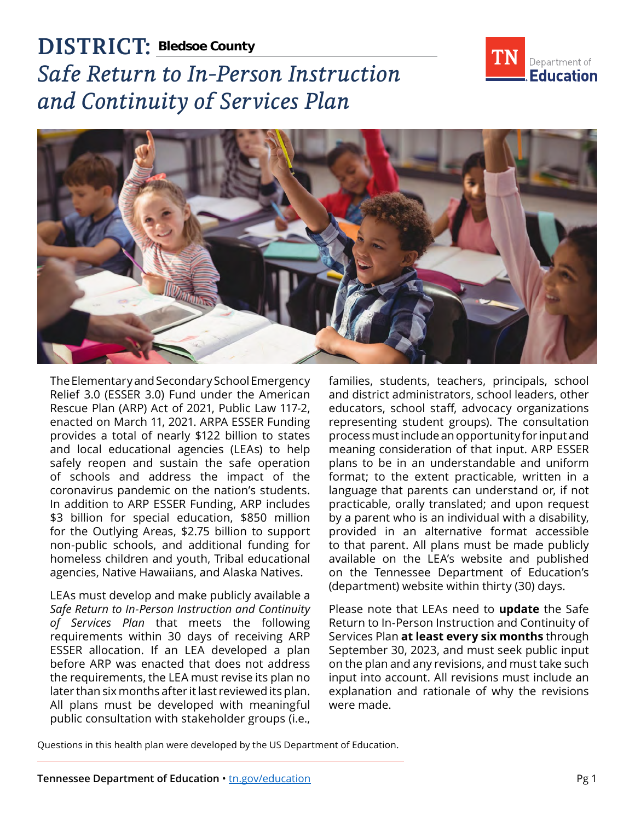

# **DISTRICT: Bledsoe County** *Safe Return to In-Person Instruction and Continuity of Services Plan*



The Elementary and Secondary School Emergency Relief 3.0 (ESSER 3.0) Fund under the American Rescue Plan (ARP) Act of 2021, Public Law 117-2, enacted on March 11, 2021. ARPA ESSER Funding provides a total of nearly \$122 billion to states and local educational agencies (LEAs) to help safely reopen and sustain the safe operation of schools and address the impact of the coronavirus pandemic on the nation's students. In addition to ARP ESSER Funding, ARP includes \$3 billion for special education, \$850 million for the Outlying Areas, \$2.75 billion to support non-public schools, and additional funding for homeless children and youth, Tribal educational agencies, Native Hawaiians, and Alaska Natives.

LEAs must develop and make publicly available a *Safe Return to In-Person Instruction and Continuity of Services Plan* that meets the following requirements within 30 days of receiving ARP ESSER allocation. If an LEA developed a plan before ARP was enacted that does not address the requirements, the LEA must revise its plan no later than six months after it last reviewed its plan. All plans must be developed with meaningful public consultation with stakeholder groups (i.e.,

families, students, teachers, principals, school and district administrators, school leaders, other educators, school staff, advocacy organizations representing student groups). The consultation process must include an opportunity for input and meaning consideration of that input. ARP ESSER plans to be in an understandable and uniform format; to the extent practicable, written in a language that parents can understand or, if not practicable, orally translated; and upon request by a parent who is an individual with a disability, provided in an alternative format accessible to that parent. All plans must be made publicly available on the LEA's website and published on the Tennessee Department of Education's (department) website within thirty (30) days.

Please note that LEAs need to **update** the Safe Return to In-Person Instruction and Continuity of Services Plan **at least every six months** through September 30, 2023, and must seek public input on the plan and any revisions, and must take such input into account. All revisions must include an explanation and rationale of why the revisions were made.

Questions in this health plan were developed by the US Department of Education.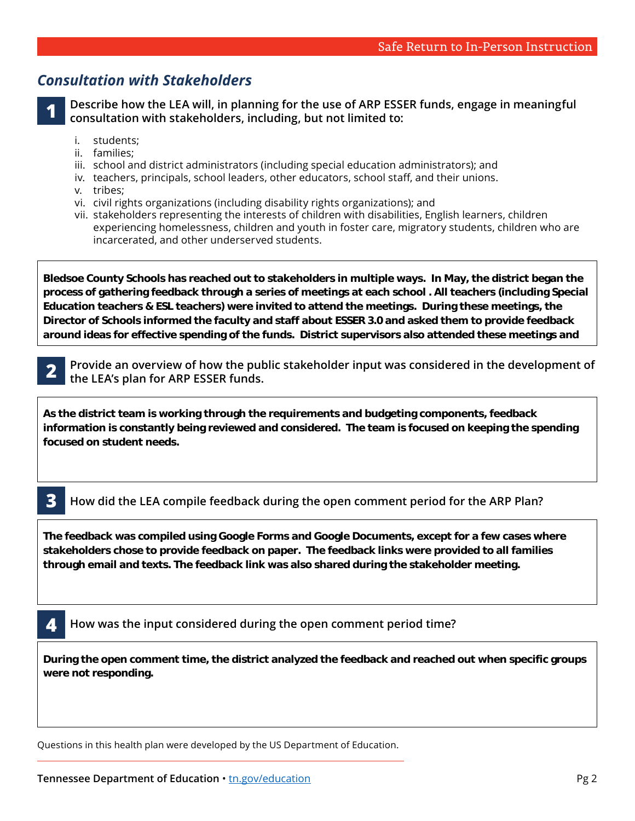## *Consultation with Stakeholders*

**1 Describe how the LEA will, in planning for the use of ARP ESSER funds, engage in meaningful consultation with stakeholders, including, but not limited to:** 

- i students:
- ii. families:
- iii. school and district administrators (including special education administrators); and
- iv. teachers, principals, school leaders, other educators, school staff, and their unions.
- v. tribes;

**about specific needs they have.** 

vi. civil rights organizations (including disability rights organizations); and

**assisted in the facilitation and collected the data on a Google document.** 

vii. stakeholders representing the interests of children with disabilities, English learners, children experiencing homelessness, children and youth in foster care, migratory students, children who are incarcerated, and other underserved students.

**Bledsoe County Schools has reached out to stakeholders in multiple ways. In May, the district began the process of gathering feedback through a series of meetings at each school . All teachers (including Special Education teachers & ESL teachers) were invited to attend the meetings. During these meetings, the Director of Schools informed the faculty and staff about ESSER 3.0 and asked them to provide feedback around ideas for effective spending of the funds. District supervisors also attended these meetings and** 

**2 Provide an overview of how the public stakeholder input was considered in the development of the LEA's plan for ARP ESSER funds. due the LEA's plan for ARP ESSER funds. business leaders, elected of the state groups** 

**paper, on social media outlets, the district webpage, by mouth at other meetings, etc.. During this**  As the district team is working through the requirements and budgeting components, feedback **with a state of the** <br>. information is constantly being reviewed and considered. The team is focused on keeping the spending<br><u>.</u> **given a Federal Feeds. Participants condense a QR code.** Participants condense a  $\alpha$ **focused on student needs.** 

**Bledsoe County High School on May 25th at 5:30 p.m. This meeting was advertised through the local** 

#### **B** How did the LEA compile feedback during the open comment period for the ARP Plan? **participants to identify the group they were representing.**

**funds. To ensure we had received feedback from multiple types of stakeholders, the form required** 

The feedback was compiled using Google Forms and Google Documents, except for a few cases where stakeholders chose to provide feedback on paper. The feedback links were provided to all families **through email and texts. The feedback link was also shared during the stakeholder meeting.** 

#### **4 How was the input considered during the open comment period time?**

**During the open comment time, the district analyzed the feedback and reached out when specific groups were not responding.** 

Questions in this health plan were developed by the US Department of Education.